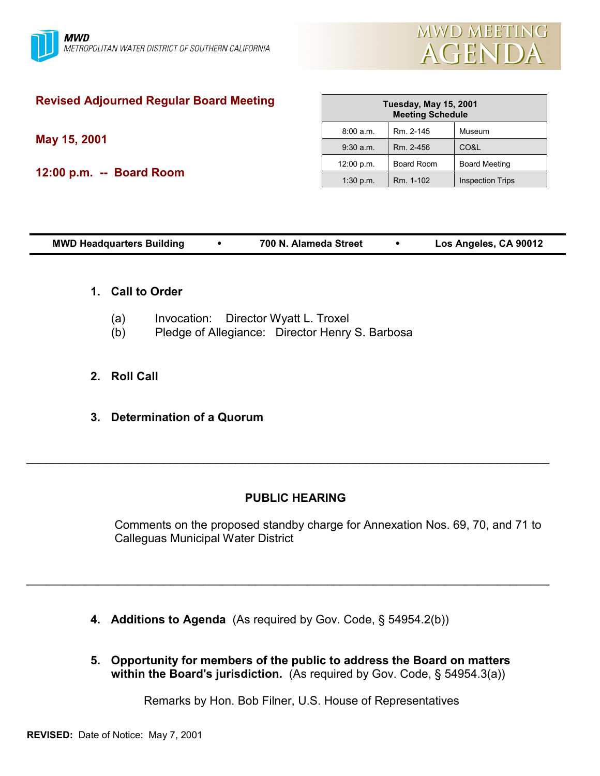

# **Revised Adjourned Regular Board Meeting**

**May 15, 2001**

**12:00 p.m. -- Board Room**

| <b>Tuesday, May 15, 2001</b><br><b>Meeting Schedule</b> |                   |                         |  |  |  |
|---------------------------------------------------------|-------------------|-------------------------|--|--|--|
| 8:00 a.m.                                               | Rm. 2-145         | Museum                  |  |  |  |
| $9:30$ a.m.                                             | Rm. 2-456         | CO&L                    |  |  |  |
| 12:00 p.m.                                              | <b>Board Room</b> | <b>Board Meeting</b>    |  |  |  |
| 1:30 p.m.                                               | Rm. 1-102         | <b>Inspection Trips</b> |  |  |  |

| <b>MWD Headquarters Building</b> |  | 700 N. Alameda Street |  | Los Angeles, CA 90012 |
|----------------------------------|--|-----------------------|--|-----------------------|
|----------------------------------|--|-----------------------|--|-----------------------|

### **1. Call to Order**

- (a) Invocation: Director Wyatt L. Troxel
- (b) Pledge of Allegiance: Director Henry S. Barbosa
- **2. Roll Call**
- **3. Determination of a Quorum**

# **PUBLIC HEARING**

 $\_$ 

 $\_$ 

Comments on the proposed standby charge for Annexation Nos. 69, 70, and 71 to Calleguas Municipal Water District

- **4. Additions to Agenda** (As required by Gov. Code, ß 54954.2(b))
- **5. Opportunity for members of the public to address the Board on matters within the Board's jurisdiction.** (As required by Gov. Code, ß 54954.3(a))

Remarks by Hon. Bob Filner, U.S. House of Representatives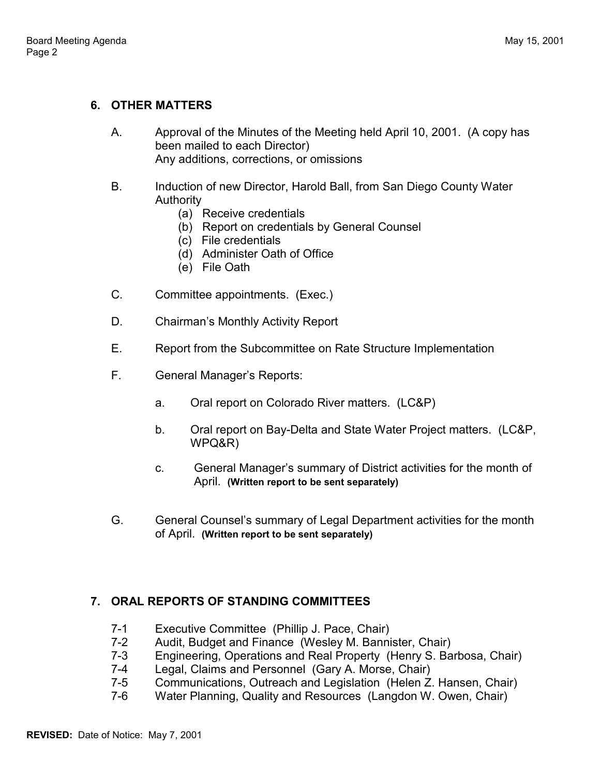# **6. OTHER MATTERS**

- A. Approval of the Minutes of the Meeting held April 10, 2001. (A copy has been mailed to each Director) Any additions, corrections, or omissions
- B. Induction of new Director, Harold Ball, from San Diego County Water Authority
	- (a) Receive credentials
	- (b) Report on credentials by General Counsel
	- (c) File credentials
	- (d) Administer Oath of Office
	- (e) File Oath
- C. Committee appointments. (Exec.)
- D. Chairman's Monthly Activity Report
- E. Report from the Subcommittee on Rate Structure Implementation
- F. General Manager's Reports:
	- a. Oral report on Colorado River matters. (LC&P)
	- b. Oral report on Bay-Delta and State Water Project matters. (LC&P, WPQ&R)
	- c. General Manager's summary of District activities for the month of April. **(Written report to be sent separately)**
- G. General Counselís summary of Legal Department activities for the month of April. **(Written report to be sent separately)**

# **7. ORAL REPORTS OF STANDING COMMITTEES**

- 7-1 Executive Committee (Phillip J. Pace, Chair)
- 7-2 Audit, Budget and Finance (Wesley M. Bannister, Chair)
- 7-3 Engineering, Operations and Real Property (Henry S. Barbosa, Chair)
- 7-4 Legal, Claims and Personnel (Gary A. Morse, Chair)
- 7-5 Communications, Outreach and Legislation (Helen Z. Hansen, Chair)
- 7-6 Water Planning, Quality and Resources (Langdon W. Owen, Chair)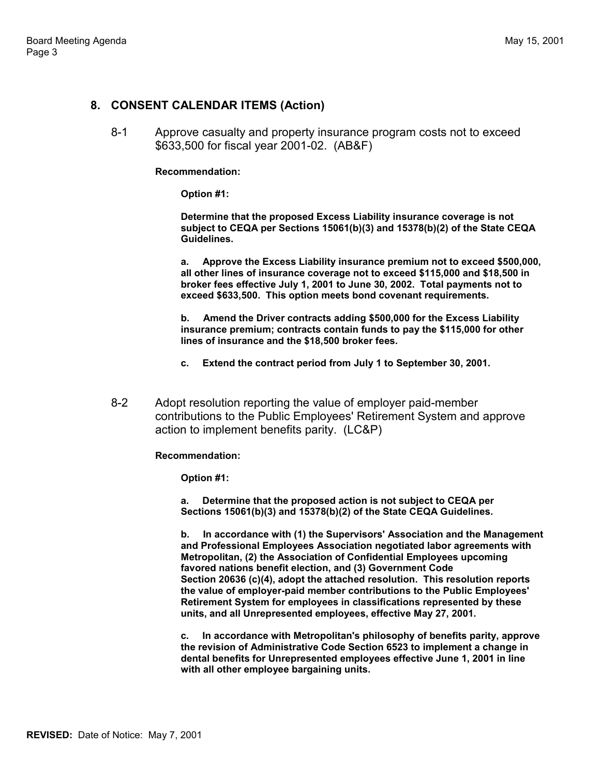#### **8. CONSENT CALENDAR ITEMS (Action)**

8-1 Approve casualty and property insurance program costs not to exceed \$633,500 for fiscal year 2001-02. (AB&F)

#### **Recommendation:**

**Option #1:**

**Determine that the proposed Excess Liability insurance coverage is not subject to CEQA per Sections 15061(b)(3) and 15378(b)(2) of the State CEQA Guidelines.**

**a. Approve the Excess Liability insurance premium not to exceed \$500,000, all other lines of insurance coverage not to exceed \$115,000 and \$18,500 in broker fees effective July 1, 2001 to June 30, 2002. Total payments not to exceed \$633,500. This option meets bond covenant requirements.**

**b. Amend the Driver contracts adding \$500,000 for the Excess Liability insurance premium; contracts contain funds to pay the \$115,000 for other lines of insurance and the \$18,500 broker fees.**

- **c. Extend the contract period from July 1 to September 30, 2001.**
- 8-2 Adopt resolution reporting the value of employer paid-member contributions to the Public Employees' Retirement System and approve action to implement benefits parity. (LC&P)

#### **Recommendation:**

**Option #1:**

**a. Determine that the proposed action is not subject to CEQA per Sections 15061(b)(3) and 15378(b)(2) of the State CEQA Guidelines.**

**b. In accordance with (1) the Supervisors' Association and the Management and Professional Employees Association negotiated labor agreements with Metropolitan, (2) the Association of Confidential Employees upcoming favored nations benefit election, and (3) Government Code Section 20636 (c)(4), adopt the attached resolution. This resolution reports the value of employer-paid member contributions to the Public Employees' Retirement System for employees in classifications represented by these units, and all Unrepresented employees, effective May 27, 2001.**

**c. In accordance with Metropolitan's philosophy of benefits parity, approve the revision of Administrative Code Section 6523 to implement a change in dental benefits for Unrepresented employees effective June 1, 2001 in line with all other employee bargaining units.**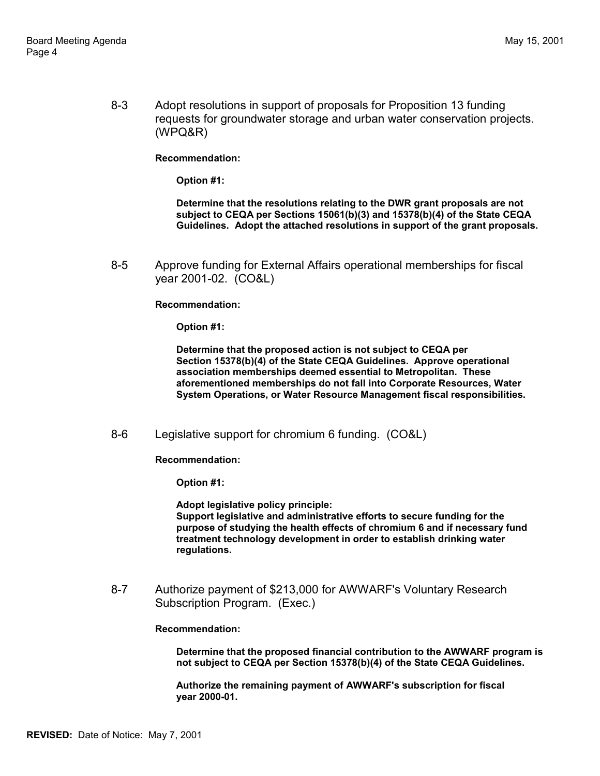8-3 Adopt resolutions in support of proposals for Proposition 13 funding requests for groundwater storage and urban water conservation projects. (WPQ&R)

**Recommendation:**

**Option #1:**

**Determine that the resolutions relating to the DWR grant proposals are not subject to CEQA per Sections 15061(b)(3) and 15378(b)(4) of the State CEQA Guidelines. Adopt the attached resolutions in support of the grant proposals.**

8-5 Approve funding for External Affairs operational memberships for fiscal year 2001-02. (CO&L)

**Recommendation:**

**Option #1:**

**Determine that the proposed action is not subject to CEQA per Section 15378(b)(4) of the State CEQA Guidelines. Approve operational association memberships deemed essential to Metropolitan. These aforementioned memberships do not fall into Corporate Resources, Water System Operations, or Water Resource Management fiscal responsibilities.**

8-6 Legislative support for chromium 6 funding. (CO&L)

**Recommendation:**

**Option #1:**

**Adopt legislative policy principle: Support legislative and administrative efforts to secure funding for the purpose of studying the health effects of chromium 6 and if necessary fund treatment technology development in order to establish drinking water regulations.**

8-7 Authorize payment of \$213,000 for AWWARF's Voluntary Research Subscription Program. (Exec.)

**Recommendation:**

**Determine that the proposed financial contribution to the AWWARF program is not subject to CEQA per Section 15378(b)(4) of the State CEQA Guidelines.**

**Authorize the remaining payment of AWWARF's subscription for fiscal year 2000-01.**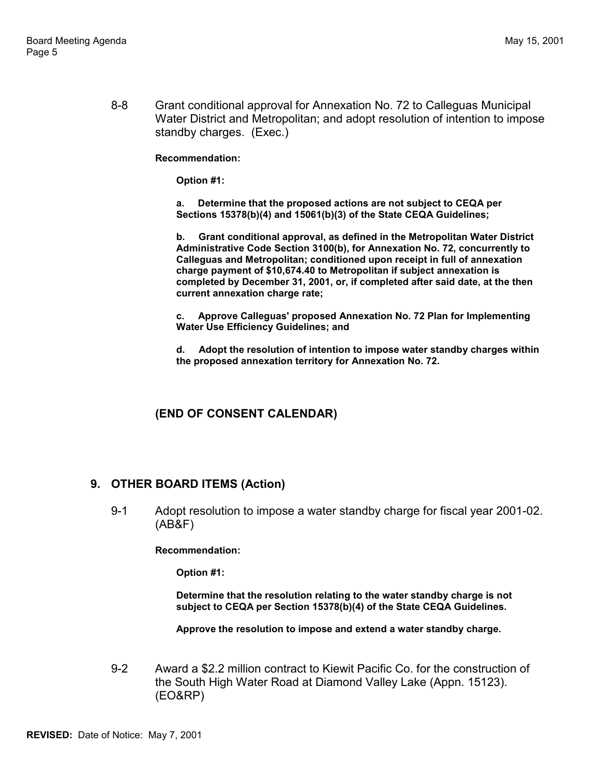8-8 Grant conditional approval for Annexation No. 72 to Calleguas Municipal Water District and Metropolitan; and adopt resolution of intention to impose standby charges. (Exec.)

**Recommendation:**

**Option #1:**

**a. Determine that the proposed actions are not subject to CEQA per Sections 15378(b)(4) and 15061(b)(3) of the State CEQA Guidelines;**

**b. Grant conditional approval, as defined in the Metropolitan Water District Administrative Code Section 3100(b), for Annexation No. 72, concurrently to Calleguas and Metropolitan; conditioned upon receipt in full of annexation charge payment of \$10,674.40 to Metropolitan if subject annexation is completed by December 31, 2001, or, if completed after said date, at the then current annexation charge rate;**

**c. Approve Calleguas' proposed Annexation No. 72 Plan for Implementing Water Use Efficiency Guidelines; and**

**d. Adopt the resolution of intention to impose water standby charges within the proposed annexation territory for Annexation No. 72.**

# **(END OF CONSENT CALENDAR)**

# **9. OTHER BOARD ITEMS (Action)**

9-1 Adopt resolution to impose a water standby charge for fiscal year 2001-02. (AB&F)

#### **Recommendation:**

**Option #1:**

**Determine that the resolution relating to the water standby charge is not subject to CEQA per Section 15378(b)(4) of the State CEQA Guidelines.**

**Approve the resolution to impose and extend a water standby charge.**

9-2 Award a \$2.2 million contract to Kiewit Pacific Co. for the construction of the South High Water Road at Diamond Valley Lake (Appn. 15123). (EO&RP)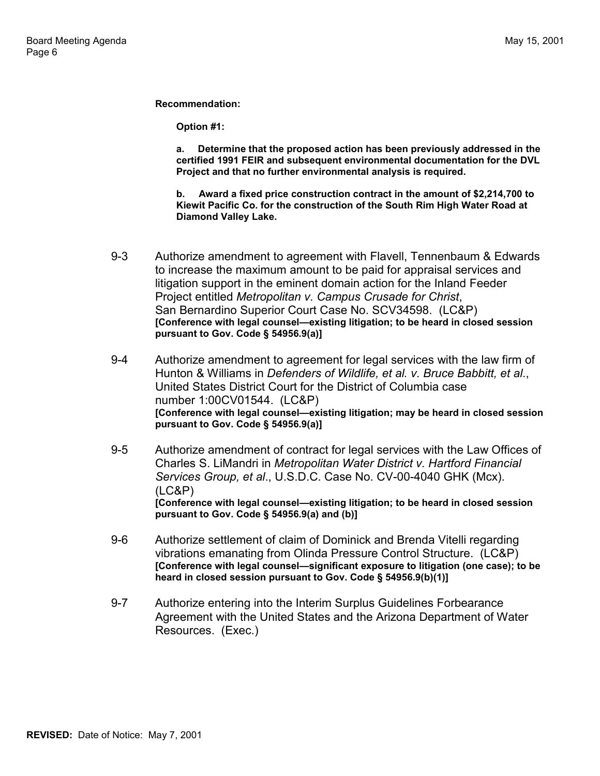**Recommendation:**

**Option #1:**

**a. Determine that the proposed action has been previously addressed in the certified 1991 FEIR and subsequent environmental documentation for the DVL Project and that no further environmental analysis is required.**

**b. Award a fixed price construction contract in the amount of \$2,214,700 to Kiewit Pacific Co. for the construction of the South Rim High Water Road at Diamond Valley Lake.**

- 9-3 Authorize amendment to agreement with Flavell, Tennenbaum & Edwards to increase the maximum amount to be paid for appraisal services and litigation support in the eminent domain action for the Inland Feeder Project entitled *Metropolitan v. Campus Crusade for Christ*, San Bernardino Superior Court Case No. SCV34598. (LC&P) [Conference with legal counsel-existing litigation; to be heard in closed session **pursuant to Gov. Code ß 54956.9(a)]**
- 9-4 Authorize amendment to agreement for legal services with the law firm of Hunton & Williams in *Defenders of Wildlife, et al. v. Bruce Babbitt, et al*., United States District Court for the District of Columbia case number 1:00CV01544. (LC&P) **[Conference with legal counsel—existing litigation; may be heard in closed session pursuant to Gov. Code ß 54956.9(a)]**
- 9-5 Authorize amendment of contract for legal services with the Law Offices of Charles S. LiMandri in *Metropolitan Water District v. Hartford Financial Services Group, et al*., U.S.D.C. Case No. CV-00-4040 GHK (Mcx). (LC&P) **[Conference with legal counsel—existing litigation; to be heard in closed session pursuant to Gov. Code ß 54956.9(a) and (b)]**
- 9-6 Authorize settlement of claim of Dominick and Brenda Vitelli regarding vibrations emanating from Olinda Pressure Control Structure. (LC&P) [Conference with legal counsel-significant exposure to litigation (one case); to be **heard in closed session pursuant to Gov. Code ß 54956.9(b)(1)]**
- 9-7 Authorize entering into the Interim Surplus Guidelines Forbearance Agreement with the United States and the Arizona Department of Water Resources. (Exec.)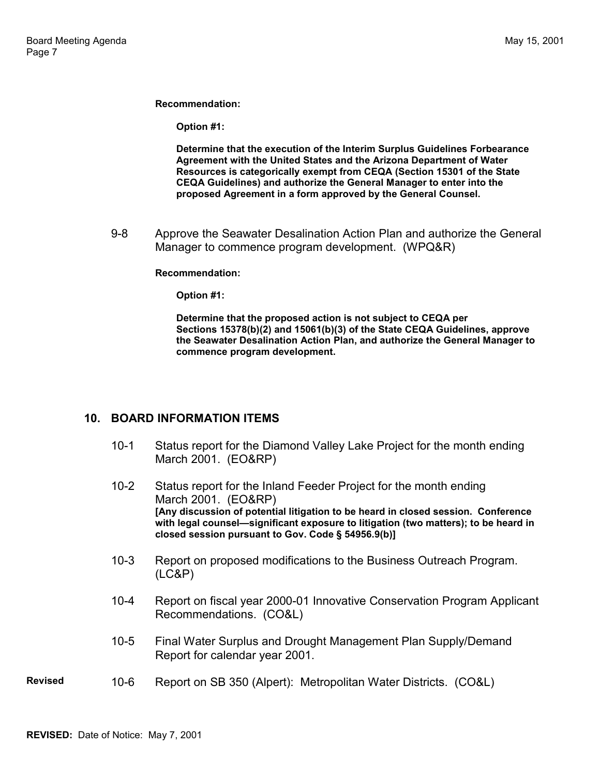**Recommendation:**

**Option #1:**

**Determine that the execution of the Interim Surplus Guidelines Forbearance Agreement with the United States and the Arizona Department of Water Resources is categorically exempt from CEQA (Section 15301 of the State CEQA Guidelines) and authorize the General Manager to enter into the proposed Agreement in a form approved by the General Counsel.**

9-8 Approve the Seawater Desalination Action Plan and authorize the General Manager to commence program development. (WPQ&R)

#### **Recommendation:**

**Option #1:**

**Determine that the proposed action is not subject to CEQA per Sections 15378(b)(2) and 15061(b)(3) of the State CEQA Guidelines, approve the Seawater Desalination Action Plan, and authorize the General Manager to commence program development.**

### **10. BOARD INFORMATION ITEMS**

- 10-1 Status report for the Diamond Valley Lake Project for the month ending March 2001. (EO&RP)
- 10-2 Status report for the Inland Feeder Project for the month ending March 2001. (EO&RP) **[Any discussion of potential litigation to be heard in closed session. Conference** with legal counsel-significant exposure to litigation (two matters); to be heard in **closed session pursuant to Gov. Code ß 54956.9(b)]**
- 10-3 Report on proposed modifications to the Business Outreach Program. (LC&P)
- 10-4 Report on fiscal year 2000-01 Innovative Conservation Program Applicant Recommendations. (CO&L)
- 10-5 Final Water Surplus and Drought Management Plan Supply/Demand Report for calendar year 2001.
- **Revised** 10-6 Report on SB 350 (Alpert): Metropolitan Water Districts. (CO&L)